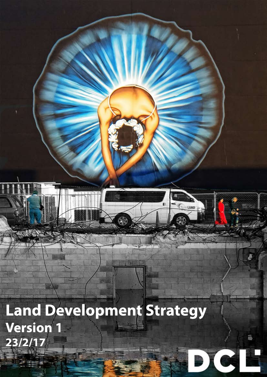Land Development Strategy **Version 1 23/2/17**

SR



**颜** 

TwetAND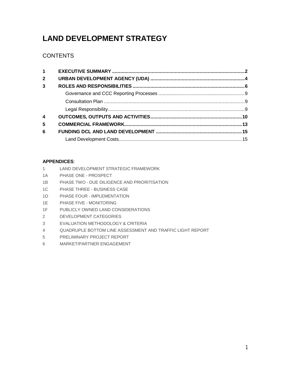# **LAND DEVELOPMENT STRATEGY**

# **CONTENTS**

| $\mathbf 1$    |  |
|----------------|--|
| $\overline{2}$ |  |
| 3              |  |
|                |  |
|                |  |
|                |  |
| 4              |  |
| 5              |  |
| 6              |  |
|                |  |

# **APPENDICES**:

- 1 LAND DEVELOPMENT STRATEGIC FRAMEWORK
- 1A PHASE ONE PROSPECT
- 1B PHASE TWO DUE DILIGENCE AND PRIORITISATION
- 1C PHASE THREE BUSINESS CASE
- 1D PHASE FOUR IMPLEMENTATION
- 1E PHASE FIVE MONITORING
- 1F PUBLICLY OWNED LAND CONSIDERATIONS
- 2 DEVELOPMENT CATEGORIES
- 3 EVALUATION METHODOLOGY & CRITERIA
- 4 QUADRUPLE BOTTOM LINE ASSESSMENT AND TRAFFIC LIGHT REPORT
- 5 PRELIMINARY PROJECT REPORT
- 6 MARKET/PARTNER ENGAGEMENT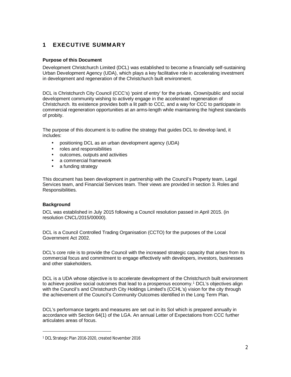# <span id="page-2-0"></span>**1 EXECUTIVE SUMMARY**

# **Purpose of this Document**

Development Christchurch Limited (DCL) was established to become a financially self-sustaining Urban Development Agency (UDA), which plays a key facilitative role in accelerating investment in development and regeneration of the Christchurch built environment.

DCL is Christchurch City Council (CCC's) 'point of entry' for the private, Crown/public and social development community wishing to actively engage in the accelerated regeneration of Christchurch. Its existence provides both a lit path to CCC, and a way for CCC to participate in commercial regeneration opportunities at an arms-length while maintaining the highest standards of probity.

The purpose of this document is to outline the strategy that guides DCL to develop land, it includes:

- positioning DCL as an urban development agency (UDA)
- roles and responsibilities
- outcomes, outputs and activities
- a commercial framework
- . a funding strategy

This document has been development in partnership with the Council's Property team, Legal Services team, and Financial Services team. Their views are provided in section 3. Roles and Responsibilities.

# **Background**

DCL was established in July 2015 following a Council resolution passed in April 2015. (in resolution CNCL/2015/00000).

DCL is a Council Controlled Trading Organisation (CCTO) for the purposes of the Local Government Act 2002.

DCL's core role is to provide the Council with the increased strategic capacity that arises from its commercial focus and commitment to engage effectively with developers, investors, businesses and other stakeholders.

DCL is a UDA whose objective is to accelerate development of the Christchurch built environment to achieve positive social outcomes that lead to a prosperous economy.<sup>[1](#page-2-1)</sup> DCL's objectives align with the Council's and Christchurch City Holdings Limited's (CCHL's) vision for the city through the achievement of the Council's Community Outcomes identified in the Long Term Plan.

DCL's performance targets and measures are set out in its SoI which is prepared annually in accordance with Section 64(1) of the LGA. An annual Letter of Expectations from CCC further articulates areas of focus.

<span id="page-2-1"></span><sup>1</sup> DCL Strategic Plan 2016-2020, created November 2016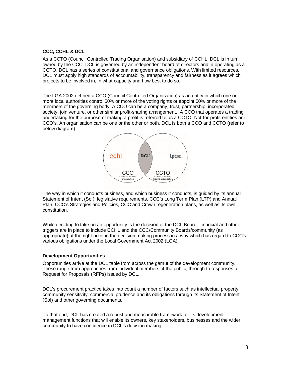#### **CCC, CCHL & DCL**

As a CCTO (Council Controlled Trading Organisation) and subsidiary of CCHL, DCL is in turn owned by the CCC. DCL is governed by an independent board of directors and in operating as a CCTO, DCL has a series of constitutional and governance obligations. With limited resources, DCL must apply high standards of accountability, transparency and fairness as it agrees which projects to be involved in, in what capacity and how best to do so.

The LGA 2002 defined a CCO (Council Controlled Organisation) as an entity in which one or more local authorities control 50% or more of the voting rights or appoint 50% or more of the members of the governing body. A CCO can be a company, trust, partnership, incorporated society, join venture, or other similar profit-sharing arrangement. A CCO that operates a trading undertaking for the purpose of making a profit is referred to as a CCTO. Not-for-profit entities are CCO's. An organisation can be one or the other or both, DCL is both a CCO and CCTO (refer to below diagram).



The way in which it conducts business, and which business it conducts, is guided by its annual Statement of Intent (SoI), legislative requirements, CCC's Long Term Plan (LTP) and Annual Plan, CCC's Strategies and Policies, CCC and Crown regeneration plans, as well as its own constitution.

While deciding to take on an opportunity is the decision of the DCL Board, financial and other triggers are in place to include CCHL and the CCC/Community Boards/community (as appropriate) at the right point in the decision making process in a way which has regard to CCC's various obligations under the Local Government Act 2002 (LGA).

#### **Development Opportunities**

Opportunities arrive at the DCL table from across the gamut of the development community. These range from approaches from individual members of the public, through to responses to Request for Proposals (RFPs) issued by DCL.

DCL's procurement practice takes into count a number of factors such as intellectual property, community sensitivity, commercial prudence and its obligations through its Statement of Intent (SoI) and other governing documents.

To that end, DCL has created a robust and measurable framework for its development management functions that will enable its owners, key stakeholders, businesses and the wider community to have confidence in DCL's decision making.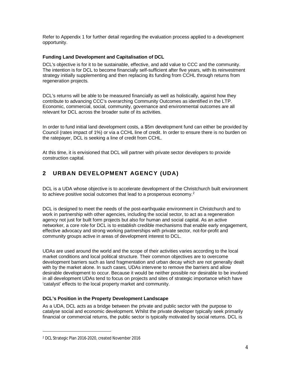Refer to Appendix 1 for further detail regarding the evaluation process applied to a development opportunity.

# **Funding Land Development and Capitalisation of DCL**

DCL's objective is for it to be sustainable, effective, and add value to CCC and the community. The intention is for DCL to become financially self-sufficient after five years, with its reinvestment strategy initially supplementing and then replacing its funding from CCHL through returns from regeneration projects.

DCL's returns will be able to be measured financially as well as holistically, against how they contribute to advancing CCC's overarching Community Outcomes as identified in the LTP. Economic, commercial, social, community, governance and environmental outcomes are all relevant for DCL across the broader suite of its activities.

In order to fund initial land development costs, a \$5m development fund can either be provided by Council (rates impact of 1%) or via a CCHL line of credit. In order to ensure there is no burden on the ratepayer, DCL is seeking a line of credit from CCHL.

At this time, it is envisioned that DCL will partner with private sector developers to provide construction capital.

# <span id="page-4-0"></span>**2 URBAN DEVELOPMENT AGENCY (UDA)**

DCL is a UDA whose objective is to accelerate development of the Christchurch built environment to achieve positive social outcomes that lead to a prosperous economy.<sup>[2](#page-4-1)</sup>

DCL is designed to meet the needs of the post-earthquake environment in Christchurch and to work in partnership with other agencies, including the social sector, to act as a regeneration agency not just for built form projects but also for human and social capital. As an active networker, a core role for DCL is to establish credible mechanisms that enable early engagement, effective advocacy and strong working partnerships with private sector, not-for-profit and community groups active in areas of development interest to DCL.

UDAs are used around the world and the scope of their activities varies according to the local market conditions and local political structure. Their common objectives are to overcome development barriers such as land fragmentation and urban decay which are not generally dealt with by the market alone. In such cases, UDAs intervene to remove the barriers and allow desirable development to occur. Because it would be neither possible nor desirable to be involved in all development UDAs tend to focus on projects and sites of strategic importance which have 'catalyst' effects to the local property market and community.

# **DCL's Position in the Property Development Landscape**

As a UDA, DCL acts as a bridge between the private and public sector with the purpose to catalyse social and economic development. Whilst the private developer typically seek primarily financial or commercial returns, the public sector is typically motivated by social returns. DCL is

<span id="page-4-1"></span><sup>2</sup> DCL Strategic Plan 2016-2020, created November 2016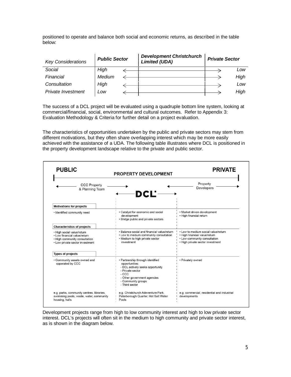positioned to operate and balance both social and economic returns, as described in the table below:

| <b>Key Considerations</b> | <b>Public Sector</b> | <b>Development Christchurch</b><br><b>Limited (UDA)</b> | <b>Private Sector</b> |      |
|---------------------------|----------------------|---------------------------------------------------------|-----------------------|------|
| Social                    | High                 |                                                         |                       | Low  |
| Financial                 | Medium               |                                                         |                       | High |
| Consultation              | High                 |                                                         |                       | Low  |
| Private Investment        | Low                  |                                                         |                       | High |

The success of a DCL project will be evaluated using a quadruple bottom line system, looking at commercial/financial, social, environmental and cultural outcomes. Refer to Appendix 3: Evaluation Methodology & Criteria for further detail on a project evaluation.

The characteristics of opportunities undertaken by the public and private sectors may stem from different motivations, but they often share overlapping interest which may be more easily achieved with the assistance of a UDA. The following table illustrates where DCL is positioned in the property development landscape relative to the private and public sector.

| <b>PUBLIC</b>                                                                                                                  | <b>PROPERTY DEVELOPMENT</b>                                                                                                                                                                 | <b>PRIVATE</b>                                                                                                                           |
|--------------------------------------------------------------------------------------------------------------------------------|---------------------------------------------------------------------------------------------------------------------------------------------------------------------------------------------|------------------------------------------------------------------------------------------------------------------------------------------|
| <b>CCC Property</b><br>& Planning Team                                                                                         | DCL'-                                                                                                                                                                                       | Property<br><b>Developers</b>                                                                                                            |
| <b>Motivations for projects</b>                                                                                                |                                                                                                                                                                                             |                                                                                                                                          |
| · Identified community need                                                                                                    | • Catalyst for economic and social<br>development<br>• Bridge public and private sectors                                                                                                    | • Market driven development<br>• High financial return                                                                                   |
| <b>Characteristics of projects</b>                                                                                             |                                                                                                                                                                                             |                                                                                                                                          |
| . High social value/return<br>. Low financial value/return<br>. High community consultation<br>• Low private sector investment | . Balance social and financial value/return<br>• Low to medium community consultation<br>• Medium to high private sector<br>investment                                                      | • Low to medium social value/return<br>· High financial value/return<br>• Low community consultation<br>• High private sector investment |
| <b>Types of projects</b>                                                                                                       |                                                                                                                                                                                             |                                                                                                                                          |
| • Community assets owned and<br>opperated by CCC                                                                               | • Partnership through identified<br>opportunities:<br>- DCL actively seeks opportunity<br>- Private sector<br>$-CCC$<br>- Other government agencies<br>- Community groups<br>- Third sector | · Privately owned                                                                                                                        |
| e.g. parks, community centres, libraries,<br>swimming pools, waste, water, community<br>housing, halls                         | e.g. Christchurch Adeventure Park,<br>Peterborough Quarter, Hot Salt Water<br>Pools                                                                                                         | e.g. commercial, residential and industrial<br>developments                                                                              |

Development projects range from high to low community interest and high to low private sector interest. DCL's projects will often sit in the medium to high community and private sector interest, as is shown in the diagram below.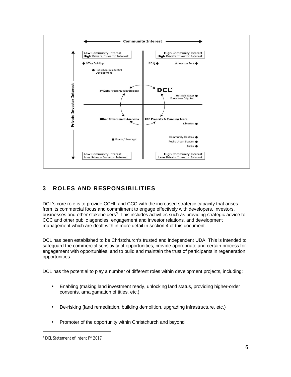

# <span id="page-6-0"></span>**3 ROLES AND RESPONSIBILITIES**

DCL's core role is to provide CCHL and CCC with the increased strategic capacity that arises from its commercial focus and commitment to engage effectively with developers, investors, businesses and other stakeholders<sup>[3.](#page-6-1)</sup> This includes activities such as providing strategic advice to CCC and other public agencies; engagement and investor relations, and development management which are dealt with in more detail in section 4 of this document.

DCL has been established to be Christchurch's trusted and independent UDA. This is intended to safeguard the commercial sensitivity of opportunities, provide appropriate and certain process for engagement with opportunities, and to build and maintain the trust of participants in regeneration opportunities.

DCL has the potential to play a number of different roles within development projects, including:

- Enabling (making land investment ready, unlocking land status, providing higher-order ä, consents, amalgamation of titles, etc.)
- De-risking (land remediation, building demolition, upgrading infrastructure, etc.) ä,
- Promoter of the opportunity within Christchurch and beyond

<span id="page-6-1"></span><sup>3</sup> DCL Statement of Intent FY 2017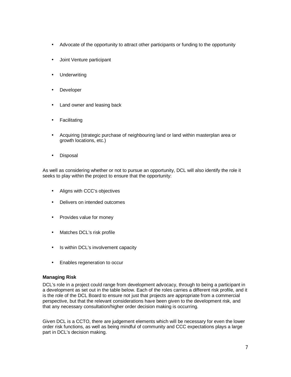- Advocate of the opportunity to attract other participants or funding to the opportunity
- Joint Venture participant
- Underwriting
- Developer  $\overline{a}$
- Land owner and leasing back
- Facilitating
- Acquiring (strategic purchase of neighbouring land or land within masterplan area or ä, growth locations, etc.)
- Disposal  $\blacksquare$

As well as considering whether or not to pursue an opportunity, DCL will also identify the role it seeks to play within the project to ensure that the opportunity:

- Aligns with CCC's objectives
- Delivers on intended outcomes
- Provides value for money
- Matches DCL's risk profile
- Is within DCL's involvement capacity
- Enables regeneration to occur

#### **Managing Risk**

DCL's role in a project could range from development advocacy, through to being a participant in a development as set out in the table below. Each of the roles carries a different risk profile, and it is the role of the DCL Board to ensure not just that projects are appropriate from a commercial perspective, but that the relevant considerations have been given to the development risk, and that any necessary consultation/higher order decision making is occurring.

Given DCL is a CCTO, there are judgement elements which will be necessary for even the lower order risk functions, as well as being mindful of community and CCC expectations plays a large part in DCL's decision making.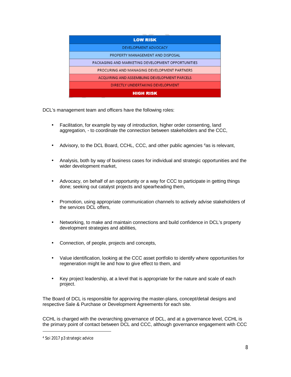| <b>LOW RISK</b>                                   |
|---------------------------------------------------|
| DEVELOPMENT ADVOCACY                              |
| PROPERTY MANAGEMENT AND DISPOSAL                  |
| PACKAGING AND MARKETING DEVELOPMENT OPPORTUNITIES |
| PROCURING AND MANAGING DEVELOPMENT PARTNERS       |
| ACQUIRING AND ASSEMBLING DEVELOPMENT PARCELS      |
| DIRECTLY UNDERTAKING DEVELOPMENT                  |
| <b>HIGH RISK</b>                                  |

DCL's management team and officers have the following roles:

- Facilitation, for example by way of introduction, higher order consenting, land aggregation, - to coordinate the connection between stakeholders and the CCC,
- Advisory, to the DCL Board, CCHL, CCC, and other public agencies [4](#page-8-0)as is relevant,
- Analysis, both by way of business cases for individual and strategic opportunities and the wider development market,
- Advocacy, on behalf of an opportunity or a way for CCC to participate in getting things done; seeking out catalyst projects and spearheading them,
- Promotion, using appropriate communication channels to actively advise stakeholders of ä, the services DCL offers,
- Networking, to make and maintain connections and build confidence in DCL's property development strategies and abilities,
- Connection, of people, projects and concepts,
- Value identification, looking at the CCC asset portfolio to identify where opportunities for regeneration might lie and how to give effect to them, and
- Key project leadership, at a level that is appropriate for the nature and scale of each l, project.

The Board of DCL is responsible for approving the master-plans, concept/detail designs and respective Sale & Purchase or Development Agreements for each site.

CCHL is charged with the overarching governance of DCL, and at a governance level, CCHL is the primary point of contact between DCL and CCC, although governance engagement with CCC

<span id="page-8-0"></span><sup>4</sup> Soi 2017 p3 strategic advice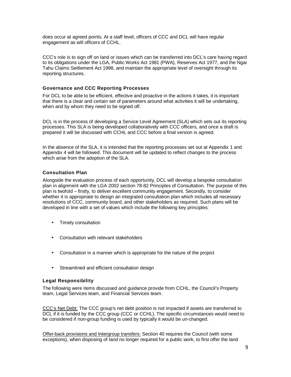does occur at agreed points. At a staff level, officers of CCC and DCL will have regular engagement as will officers of CCHL.

CCC's role is to sign off on land or issues which can be transferred into DCL's care having regard to its obligations under the LGA, Public Works Act 1981 (PWA), Reserves Act 1977, and the Ngai Tahu Claims Settlement Act 1998, and maintain the appropriate level of oversight through its reporting structures.

#### <span id="page-9-0"></span>**Governance and CCC Reporting Processes**

For DCL to be able to be efficient, effective and proactive in the actions it takes, it is important that there is a clear and certain set of parameters around what activities it will be undertaking, when and by whom they need to be signed off.

DCL is in the process of developing a Service Level Agreement (SLA) which sets out its reporting processes. This SLA is being developed collaboratively with CCC officers, and once a draft is prepared it will be discussed with CCHL and CCC before a final version is agreed.

In the absence of the SLA, it is intended that the reporting processes set out at Appendix 1 and Appendix 4 will be followed. This document will be updated to reflect changes to the process which arise from the adoption of the SLA.

# <span id="page-9-1"></span>**Consultation Plan**

Alongside the evaluation process of each opportunity, DCL will develop a bespoke consultation plan in alignment with the LGA 2002 section 78-82 Principles of Consultation. The purpose of this plan is twofold – firstly, to deliver excellent community engagement. Secondly, to consider whether it is appropriate to design an integrated consultation plan which includes all necessary resolutions of CCC, community board, and other stakeholders as required. Such plans will be developed in line with a set of values which include the following key principles:

- Timely consultation
- Consultation with relevant stakeholders
- Consultation in a manner which is appropriate for the nature of the project
- Streamlined and efficient consultation design

# <span id="page-9-2"></span>**Legal Responsibility**

The following were items discussed and guidance provide from CCHL, the Council's Property team, Legal Services team, and Financial Services team.

CCC's Net Debt: The CCC group's net debt position is not impacted if assets are transferred to DCL if it is funded by the CCC group (CCC or CCHL). The specific circumstances would need to be considered if non-group funding is used by typically it would be un-changed.

Offer-back provisions and Intergroup transfers: Section 40 requires the Council (with some exceptions), when disposing of land no longer required for a public work, to first offer the land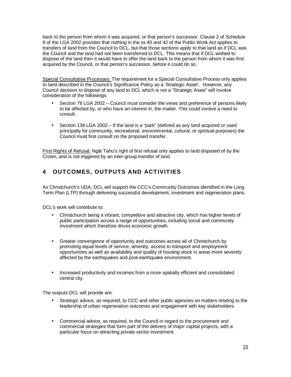back to the person from whom it was acquired, or that person's successor. Clause 2 of Schedule 9 of the LGA 2002 provides that nothing in the ss 40 and 42 of the Public Work Act applies to transfers of land from the Council to DCL, but that those sections apply to that land as if DCL was the Council and the land had not been transferred to DCL. This means that if DCL wished to dispose of the land then it would have to offer the land back to the person from whom it was first acquired by the Council, or that person's successor, before it could do so.

Special Consultative Processes: The requirement for a Special Consultative Process only applies to land described in the Council's Significance Policy as a 'Strategic Asset'. However, any Council decision to dispose of any land to DCL which is not a "Strategic Asset" will involve consideration of the followings:

- Section 78 LGA 2002 Council must consider the views and preference of persons likely to be affected by, or who have an interest in, the matter. This could involve a need to consult.
- Section 138 LGA 2002 If the land is a "park" (defined as any land acquired or used principally for community, recreational, environmental, cultural, or spiritual purposes) the Council must first consult on the proposed transfer.

First Rights of Refusal: Ngāi Tahu's right of first refusal only applies to land disposed of by the Crown, and is not triggered by an inter-group transfer of land.

# <span id="page-10-0"></span>**4 OUT COMES, OUTPUTS AND ACTIVITIES**

As Christchurch's UDA, DCL will support the CCC's Community Outcomes identified in the Long Term Plan (LTP) through delivering successful development, investment and regeneration plans.

DCL's work will contribute to:

- Christchurch being a vibrant, competitive and attractive city, which has higher levels of public participation across a range of opportunities, including social and community investment which therefore drives economic growth.
- Greater convergence of opportunity and outcomes across all of Christchurch by promoting equal levels of service, amenity, access to transport and employment opportunities as well as availability and quality of housing stock in areas more severely affected by the earthquakes and post-earthquake environment.
- Increased productivity and incomes from a more spatially efficient and consolidated central city.

The outputs DCL will provide are:

- Strategic advice, as required, to CCC and other public agencies on matters relating to the leadership of urban regeneration outcomes and engagement with key stakeholders.
- Commercial advice, as required, to the Council in regard to the procurement and commercial strategies that form part of the delivery of major capital projects, with a particular focus on attracting private sector investment.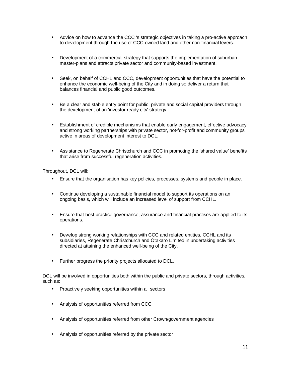- Advice on how to advance the CCC 's strategic objectives in taking a pro-active approach to development through the use of CCC-owned land and other non-financial levers.
- Development of a commercial strategy that supports the implementation of suburban master-plans and attracts private sector and community-based investment.
- Seek, on behalf of CCHL and CCC, development opportunities that have the potential to enhance the economic well-being of the City and in doing so deliver a return that balances financial and public good outcomes.
- Be a clear and stable entry point for public, private and social capital providers through the development of an 'investor ready city' strategy.
- Establishment of credible mechanisms that enable early engagement, effective advocacy and strong working partnerships with private sector, not-for-profit and community groups active in areas of development interest to DCL.
- Assistance to Regenerate Christchurch and CCC in promoting the 'shared value' benefits that arise from successful regeneration activities.

Throughout, DCL will:

- Ensure that the organisation has key policies, processes, systems and people in place.
- Continue developing a sustainable financial model to support its operations on an ongoing basis, which will include an increased level of support from CCHL.
- Ensure that best practice governance, assurance and financial practises are applied to its operations.
- Develop strong working relationships with CCC and related entities, CCHL and its subsidiaries, Regenerate Christchurch and Ōtākaro Limited in undertaking activities directed at attaining the enhanced well-being of the City.
- Further progress the priority projects allocated to DCL.

DCL will be involved in opportunities both within the public and private sectors, through activities, such as:

- Proactively seeking opportunities within all sectors
- Analysis of opportunities referred from CCC
- Analysis of opportunities referred from other Crown/government agencies
- Analysis of opportunities referred by the private sector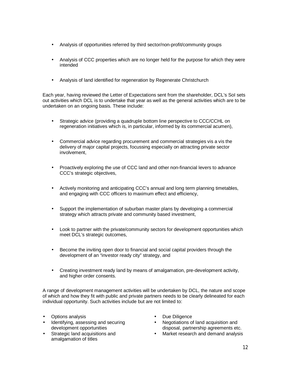- Analysis of opportunities referred by third sector/non-profit/community groups
- Analysis of CCC properties which are no longer held for the purpose for which they were intended
- Analysis of land identified for regeneration by Regenerate Christchurch

Each year, having reviewed the Letter of Expectations sent from the shareholder, DCL's SoI sets out activities which DCL is to undertake that year as well as the general activities which are to be undertaken on an ongoing basis. These include:

- Strategic advice (providing a quadruple bottom line perspective to CCC/CCHL on regeneration initiatives which is, in particular, informed by its commercial acumen),
- Commercial advice regarding procurement and commercial strategies vis a vis the delivery of major capital projects, focussing especially on attracting private sector involvement,
- Proactively exploring the use of CCC land and other non-financial levers to advance CCC's strategic objectives,
- Actively monitoring and anticipating CCC's annual and long term planning timetables, and engaging with CCC officers to maximum effect and efficiency,
- Support the implementation of suburban master plans by developing a commercial strategy which attracts private and community based investment,
- Look to partner with the private/community sectors for development opportunities which meet DCL's strategic outcomes,
- Become the inviting open door to financial and social capital providers through the development of an "investor ready city" strategy, and
- Creating investment ready land by means of amalgamation, pre-development activity, and higher order consents.

A range of development management activities will be undertaken by DCL, the nature and scope of which and how they fit with public and private partners needs to be clearly delineated for each individual opportunity. Such activities include but are not limited to:

- Options analysis
- Identifying, assessing and securing development opportunities
- Strategic land acquisitions and amalgamation of titles
- Due Diligence
- Negotiations of land acquisition and disposal, partnership agreements etc.
- Market research and demand analysis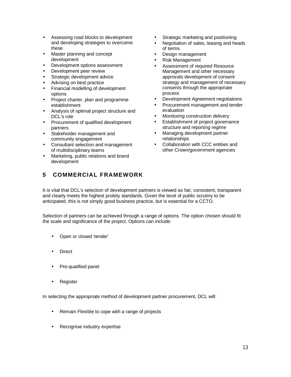- Assessing road blocks to development and developing strategies to overcome these
- Master planning and concept development
- Development options assessment
- Development peer review
- Strategic development advice
- Advising on best practice
- Financial modelling of development options
- Project charter, plan and programme establishment
- Analysis of optimal project structure and DCL's role
- Procurement of qualified development partners
- Stakeholder management and community engagement
- Consultant selection and management of multidisciplinary teams
- Marketing, public relations and brand development

# <span id="page-13-0"></span>**5 COMMERCIAL FRAMEWORK**

- Strategic marketing and positioning
- Negotiation of sales, leasing and heads of terms
- Design management
- Risk Management
- Assessment of required Resource Management and other necessary approvals development of consent strategy and management of necessary consents through the appropriate process
- Development Agreement negotiations
- Procurement management and tender evaluation
- Monitoring construction delivery
- Establishment of project governance structure and reporting regime
- Managing development partner relationships
- Collaboration with CCC entities and other Crown/government agencies

It is vital that DCL's selection of development partners is viewed as fair, consistent, transparent and clearly meets the highest probity standards. Given the level of public scrutiny to be anticipated, this is not simply good business practice, but is essential for a CCTO.

Selection of partners can be achieved through a range of options. The option chosen should fit the scale and significance of the project. Options can include:

- Open or closed 'tender'
- **Direct**
- Pre-qualified panel
- Register

In selecting the appropriate method of development partner procurement, DCL will:

- Remain Flexible to cope with a range of projects
- Recognise industry expertise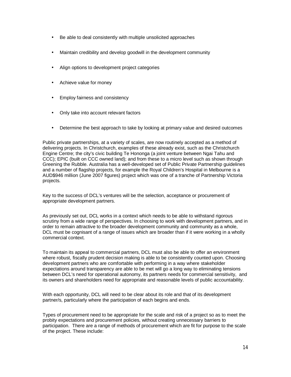- Be able to deal consistently with multiple unsolicited approaches
- Maintain credibility and develop goodwill in the development community
- Align options to development project categories
- Achieve value for money
- Employ fairness and consistency
- Only take into account relevant factors
- Determine the best approach to take by looking at primary value and desired outcomes

Public private partnerships, at a variety of scales, are now routinely accepted as a method of delivering projects. In Christchurch, examples of these already exist, such as the Christchurch Engine Centre; the city's civic building Te Hononga (a joint venture between Ngai Tahu and CCC); EPIC (built on CCC owned land); and from these to a micro level such as shown through Greening the Rubble. Australia has a well-developed set of Public Private Partnership guidelines and a number of flagship projects, for example the Royal Children's Hospital in Melbourne is a AUD\$946 million (June 2007 figures) project which was one of a tranche of Partnership Victoria projects.

Key to the success of DCL's ventures will be the selection, acceptance or procurement of appropriate development partners.

As previously set out, DCL works in a context which needs to be able to withstand rigorous scrutiny from a wide range of perspectives. In choosing to work with development partners, and in order to remain attractive to the broader development community and community as a whole, DCL must be cognisant of a range of issues which are broader than if it were working in a wholly commercial context.

To maintain its appeal to commercial partners, DCL must also be able to offer an environment where robust, fiscally prudent decision making is able to be consistently counted upon. Choosing development partners who are comfortable with performing in a way where stakeholder expectations around transparency are able to be met will go a long way to eliminating tensions between DCL's need for operational autonomy, its partners needs for commercial sensitivity, and its owners and shareholders need for appropriate and reasonable levels of public accountability.

With each opportunity, DCL will need to be clear about its role and that of its development partner/s, particularly where the participation of each begins and ends.

Types of procurement need to be appropriate for the scale and risk of a project so as to meet the probity expectations and procurement policies, without creating unnecessary barriers to participation. There are a range of methods of procurement which are fit for purpose to the scale of the project. These include: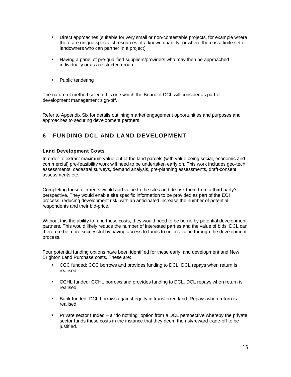- Direct approaches (suitable for very small or non-contestable projects, for example where there are unique specialist resources of a known quantity, or where there is a finite set of landowners who can partner in a project)
- Having a panel of pre-qualified suppliers/providers who may then be approached individually or as a restricted group
- . Public tendering

The nature of method selected is one which the Board of DCL will consider as part of development management sign-off.

Refer to Appendix Six for details outlining market engagement opportunities and purposes and approaches to securing development partners.

# <span id="page-15-0"></span>**6 FUNDING DCL AND LAND DEVELOPMENT**

#### <span id="page-15-1"></span>**Land Development Costs**

In order to extract maximum value out of the land parcels (with value being social, economic and commercial) pre-feasibility work will need to be undertaken early on. This work includes geo-tech assessments, cadastral surveys, demand analysis, pre-planning assessments, draft-consent assessments etc.

Completing these elements would add value to the sites and de-risk them from a third party's perspective. They would enable site specific information to be provided as part of the EOI process, reducing development risk, with an anticipated increase the number of potential respondents and their bid-price.

Without this the ability to fund these costs, they would need to be borne by potential development partners. This would likely reduce the number of interested parties and the value of bids. DCL can therefore be more successful by having access to funds to unlock value through the development process.

Four potential funding options have been identified for these early land development and New Brighton Land Purchase costs. These are:

- CCC funded: CCC borrows and provides funding to DCL. DCL repays when return is realised.
- CCHL funded: CCHL borrows and provides funding to DCL. DCL repays when return is realised.
- Bank funded: DCL borrows against equity in transferred land. Repays when return is realised.
- Private sector funded a "do nothing" option from a DCL perspective whereby the private sector funds these costs in the instance that they deem the risk/reward trade-off to be justified.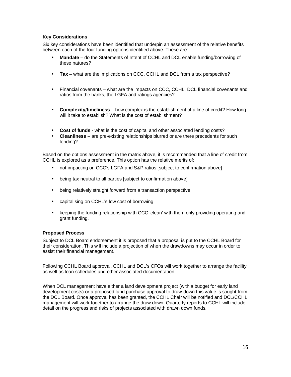# **Key Considerations**

Six key considerations have been identified that underpin an assessment of the relative benefits between each of the four funding options identified above. These are:

- **Mandate** do the Statements of Intent of CCHL and DCL enable funding/borrowing of these natures?
- **Tax** what are the implications on CCC, CCHL and DCL from a tax perspective? a.
- Financial covenants what are the impacts on CCC, CCHL, DCL financial covenants and ratios from the banks, the LGFA and ratings agencies?
- **Complexity/timeliness** how complex is the establishment of a line of credit? How long will it take to establish? What is the cost of establishment?
- **Cost of funds** what is the cost of capital and other associated lending costs?
- **Cleanliness** are pre-existing relationships blurred or are there precedents for such lending?

Based on the options assessment in the matrix above, it is recommended that a line of credit from CCHL is explored as a preference. This option has the relative merits of:

- not impacting on CCC's LGFA and S&P ratios [subject to confirmation above]
- being tax neutral to all parties [subject to confirmation above]
- being relatively straight forward from a transaction perspective
- capitalising on CCHL's low cost of borrowing
- keeping the funding relationship with CCC 'clean' with them only providing operating and grant funding.

# **Proposed Process**

Subject to DCL Board endorsement it is proposed that a proposal is put to the CCHL Board for their consideration. This will include a projection of when the drawdowns may occur in order to assist their financial management.

Following CCHL Board approval, CCHL and DCL's CFOs will work together to arrange the facility as well as loan schedules and other associated documentation.

When DCL management have either a land development project (with a budget for early land development costs) or a proposed land purchase approval to draw-down this value is sought from the DCL Board. Once approval has been granted, the CCHL Chair will be notified and DCL/CCHL management will work together to arrange the draw down. Quarterly reports to CCHL will include detail on the progress and risks of projects associated with drawn down funds.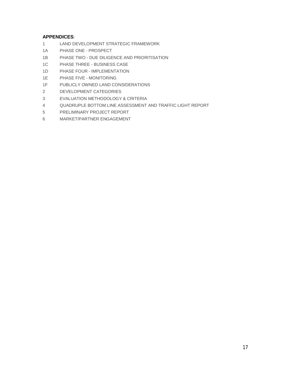# **APPENDICES**:

- 1 LAND DEVELOPMENT STRATEGIC FRAMEWORK
- 1A PHASE ONE PROSPECT
- 1B PHASE TWO DUE DILIGENCE AND PRIORITISATION
- 1C PHASE THREE BUSINESS CASE
- 1D PHASE FOUR IMPLEMENTATION
- 1E PHASE FIVE MONITORING
- 1F PUBLICLY OWNED LAND CONSIDERATIONS
- 2 DEVELOPMENT CATEGORIES
- 3 EVALUATION METHODOLOGY & CRITERIA
- 4 QUADRUPLE BOTTOM LINE ASSESSMENT AND TRAFFIC LIGHT REPORT
- 5 PRELIMINARY PROJECT REPORT
- 6 MARKET/PARTNER ENGAGEMENT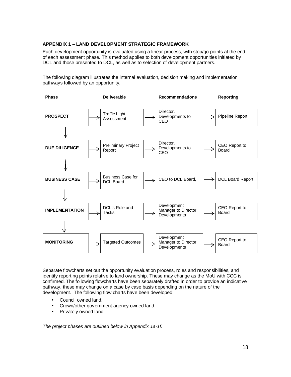# **APPENDIX 1 – LAND DEVELOPMENT STRATEGIC FRAMEWORK**

Each development opportunity is evaluated using a linear process, with stop/go points at the end of each assessment phase. This method applies to both development opportunities initiated by DCL and those presented to DCL, as well as to selection of development partners.

The following diagram illustrates the internal evaluation, decision making and implementation pathways followed by an opportunity.



Separate flowcharts set out the opportunity evaluation process, roles and responsibilities, and identify reporting points relative to land ownership. These may change as the MoU with CCC is confirmed. The following flowcharts have been separately drafted in order to provide an indicative pathway, these may change on a case by case basis depending on the nature of the development. The following flow charts have been developed:

- Council owned land. t.
- Crown/other government agency owned land.
- Privately owned land.

*The project phases are outlined below in Appendix 1a-1f.*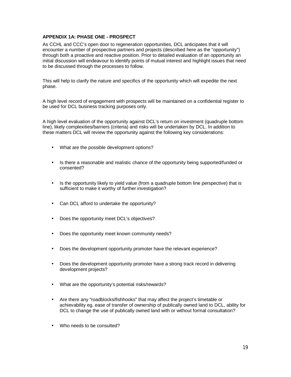# **APPENDIX 1A: PHASE ONE - PROSPECT**

As CCHL and CCC's open door to regeneration opportunities, DCL anticipates that it will encounter a number of prospective partners and projects (described here as the "opportunity") through both a proactive and reactive position. Prior to detailed evaluation of an opportunity an initial discussion will endeavour to identify points of mutual interest and highlight issues that need to be discussed through the processes to follow.

This will help to clarify the nature and specifics of the opportunity which will expedite the next phase.

A high level record of engagement with prospects will be maintained on a confidential register to be used for DCL business tracking purposes only.

A high level evaluation of the opportunity against DCL's return on investment (quadruple bottom line), likely complexities/barriers (criteria) and risks will be undertaken by DCL. In addition to these matters DCL will review the opportunity against the following key considerations:

- What are the possible development options?
- Is there a reasonable and realistic chance of the opportunity being supported/funded or consented?
- Is the opportunity likely to yield value (from a quadruple bottom line perspective) that is sufficient to make it worthy of further investigation?
- Can DCL afford to undertake the opportunity?
- Does the opportunity meet DCL's objectives?
- Does the opportunity meet known community needs?
- Does the development opportunity promoter have the relevant experience?
- Does the development opportunity promoter have a strong track record in delivering development projects?
- What are the opportunity's potential risks/rewards?
- Are there any "roadblocks/fishhooks" that may affect the project's timetable or achievability eg. ease of transfer of ownership of publically owned land to DCL, ability for DCL to change the use of publically owned land with or without formal consultation?
- Who needs to be consulted?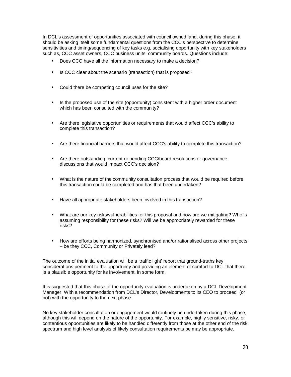In DCL's assessment of opportunities associated with council owned land, during this phase, it should be asking itself some fundamental questions from the CCC's perspective to determine sensitivities and timing/sequencing of key tasks e.g. socialising opportunity with key stakeholders such as, CCC asset owners, CCC business units, community boards. Questions include:

- Does CCC have all the information necessary to make a decision?
- Is CCC clear about the scenario (transaction) that is proposed?
- Could there be competing council uses for the site?
- $\cdot$  Is the proposed use of the site (opportunity) consistent with a higher order document which has been consulted with the community?
- Are there legislative opportunities or requirements that would affect CCC's ability to complete this transaction?
- Are there financial barriers that would affect CCC's ability to complete this transaction?
- Are there outstanding, current or pending CCC/board resolutions or governance discussions that would impact CCC's decision?
- What is the nature of the community consultation process that would be required before this transaction could be completed and has that been undertaken?
- Have all appropriate stakeholders been involved in this transaction?
- What are our key risks/vulnerabilities for this proposal and how are we mitigating? Who is assuming responsibility for these risks? Will we be appropriately rewarded for these risks?
- How are efforts being harmonized, synchronised and/or rationalised across other projects – be they CCC, Community or Privately lead?

The outcome of the initial evaluation will be a 'traffic light' report that ground-truths key considerations pertinent to the opportunity and providing an element of comfort to DCL that there is a plausible opportunity for its involvement, in some form.

It is suggested that this phase of the opportunity evaluation is undertaken by a DCL Development Manager. With a recommendation from DCL's Director, Developments to its CEO to proceed (or not) with the opportunity to the next phase.

No key stakeholder consultation or engagement would routinely be undertaken during this phase, although this will depend on the nature of the opportunity. For example, highly sensitive, risky, or contentious opportunities are likely to be handled differently from those at the other end of the risk spectrum and high level analysis of likely consultation requirements be may be appropriate.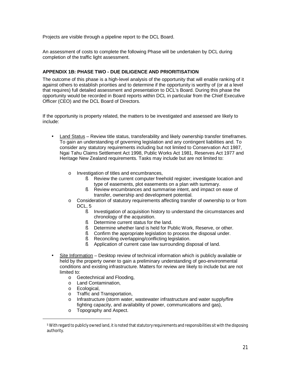Projects are visible through a pipeline report to the DCL Board.

An assessment of costs to complete the following Phase will be undertaken by DCL during completion of the traffic light assessment.

# **APPENDIX 1B: PHASE TWO - DUE DILIGENCE AND PRIORITISATION**

The outcome of this phase is a high-level analysis of the opportunity that will enable ranking of it against others to establish priorities and to determine if the opportunity is worthy of (or at a level that requires) full detailed assessment and presentation to DCL's Board. During this phase the opportunity would be recorded in Board reports within DCL in particular from the Chief Executive Officer (CEO) and the DCL Board of Directors.

If the opportunity is property related, the matters to be investigated and assessed are likely to include:

- Land Status Review title status, transferability and likely ownership transfer timeframes. To gain an understanding of governing legislation and any contingent liabilities and. To consider any statutory requirements including but not limited to Conservation Act 1987, Ngai Tahu Claims Settlement Act 1998, Public Works Act 1981, Reserves Act 1977 and Heritage New Zealand requirements. Tasks may include but are not limited to:
	- o Investigation of titles and encumbrances,
		- § Review the current computer freehold register; investigate location and type of easements, plot easements on a plan with summary.
		- § Review encumbrances and summarise intent, and impact on ease of transfer, ownership and development potential.
	- o Consideration of statutory requirements affecting transfer of ownership to or from DCL, [5](#page-21-0)
		- § Investigation of acquisition history to understand the circumstances and chronology of the acquisition.
		- § Determine current status for the land.
		- § Determine whether land is held for Public Work, Reserve, or other.
		- § Confirm the appropriate legislation to process the disposal under.
		- § Reconciling overlapping/conflicting legislation.
		- Application of current case law surrounding disposal of land.
- Site Information Desktop review of technical information which is publicly available or held by the property owner to gain a preliminary understanding of geo-environmental conditions and existing infrastructure. Matters for review are likely to include but are not limited to:
	- o Geotechnical and Flooding,
	- o Land Contamination,
	- o Ecological,
	- o Traffic and Transportation,
	- o Infrastructure (storm water, wastewater infrastructure and water supply/fire fighting capacity, and availability of power, communications and gas),
	- o Topography and Aspect.

<span id="page-21-0"></span> $^5$  With regard to publicly owned land, it is noted that statutory requirements and responsibilities sit with the disposing authority.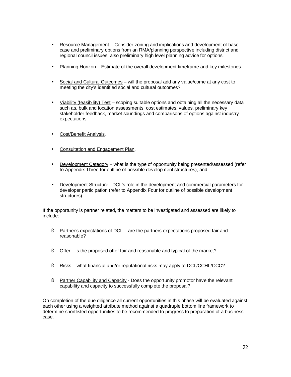- Resource Management Consider zoning and implications and development of base case and preliminary options from an RMA/planning perspective including district and regional council issues; also preliminary high level planning advice for options,
- Planning Horizon Estimate of the overall development timeframe and key milestones.
- Social and Cultural Outcomes will the proposal add any value/come at any cost to meeting the city's identified social and cultural outcomes?
- Viability (feasibility) Test scoping suitable options and obtaining all the necessary data such as, bulk and location assessments, cost estimates, values, preliminary key stakeholder feedback, market soundings and comparisons of options against industry expectations,
- Cost/Benefit Analysis,
- Consultation and Engagement Plan,
- Development Category what is the type of opportunity being presented/assessed (refer to Appendix Three for outline of possible development structures), and
- Development Structure –DCL's role in the development and commercial parameters for developer participation (refer to Appendix Four for outline of possible development structures).

If the opportunity is partner related, the matters to be investigated and assessed are likely to include:

- § Partner's expectations of DCL are the partners expectations proposed fair and reasonable?
- § Offer is the proposed offer fair and reasonable and typical of the market?
- § Risks what financial and/or reputational risks may apply to DCL/CCHL/CCC?
- § Partner Capability and Capacity Does the opportunity promotor have the relevant capability and capacity to successfully complete the proposal?

On completion of the due diligence all current opportunities in this phase will be evaluated against each other using a weighted attribute method against a quadruple bottom line framework to determine shortlisted opportunities to be recommended to progress to preparation of a business case.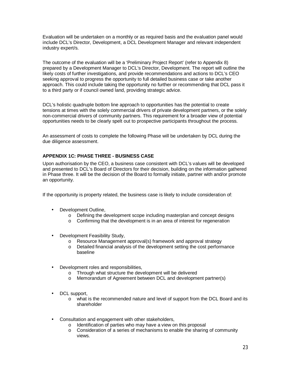Evaluation will be undertaken on a monthly or as required basis and the evaluation panel would include DCL's Director, Development, a DCL Development Manager and relevant independent industry expert/s.

The outcome of the evaluation will be a 'Preliminary Project Report' (refer to Appendix 8) prepared by a Development Manager to DCL's Director, Development. The report will outline the likely costs of further investigations, and provide recommendations and actions to DCL's CEO seeking approval to progress the opportunity to full detailed business case or take another approach. This could include taking the opportunity no further or recommending that DCL pass it to a third party or if council owned land, providing strategic advice.

DCL's holistic quadruple bottom line approach to opportunities has the potential to create tensions at times with the solely commercial drivers of private development partners, or the solely non-commercial drivers of community partners. This requirement for a broader view of potential opportunities needs to be clearly spelt out to prospective participants throughout the process.

An assessment of costs to complete the following Phase will be undertaken by DCL during the due diligence assessment.

# **APPENDIX 1C: PHASE THREE - BUSINESS CASE**

Upon authorisation by the CEO, a business case consistent with DCL's values will be developed and presented to DCL's Board of Directors for their decision, building on the information gathered in Phase three. It will be the decision of the Board to formally initiate, partner with and/or promote an opportunity.

If the opportunity is property related, the business case is likely to include consideration of:

- Development Outline,
	- o Defining the development scope including masterplan and concept designs
	- o Confirming that the development is in an area of interest for regeneration
- Development Feasibility Study,
	- o Resource Management approval(s) framework and approval strategy
	- o Detailed financial analysis of the development setting the cost performance baseline
- Development roles and responsibilities, ä,
	- o Through what structure the development will be delivered
	- o Memorandum of Agreement between DCL and development partner(s)
- DCL support, ä,
	- o what is the recommended nature and level of support from the DCL Board and its shareholder
- Consultation and engagement with other stakeholders,
	- o Identification of parties who may have a view on this proposal
	- $\circ$  Consideration of a series of mechanisms to enable the sharing of community views.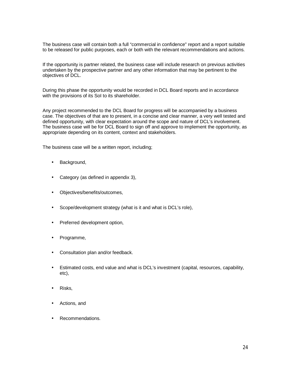The business case will contain both a full "commercial in confidence" report and a report suitable to be released for public purposes, each or both with the relevant recommendations and actions.

If the opportunity is partner related, the business case will include research on previous activities undertaken by the prospective partner and any other information that may be pertinent to the objectives of DCL.

During this phase the opportunity would be recorded in DCL Board reports and in accordance with the provisions of its SoI to its shareholder.

Any project recommended to the DCL Board for progress will be accompanied by a business case. The objectives of that are to present, in a concise and clear manner, a very well tested and defined opportunity, with clear expectation around the scope and nature of DCL's involvement. The business case will be for DCL Board to sign off and approve to implement the opportunity, as appropriate depending on its content, context and stakeholders.

The business case will be a written report, including;

- Background, t,
- Category (as defined in appendix 3),
- Objectives/benefits/outcomes,
- Scope/development strategy (what is it and what is DCL's role),
- Preferred development option,
- Programme,
- Consultation plan and/or feedback.
- Estimated costs, end value and what is DCL's investment (capital, resources, capability, etc),
- Risks,
- Actions, and
- Recommendations.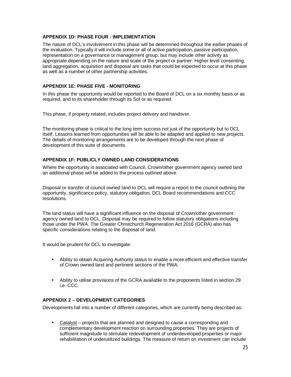# **APPENDIX 1D: PHASE FOUR - IMPLEMENTATION**

The nature of DCL's involvement in this phase will be determined throughout the earlier phases of the evaluation. Typically it will include some or all of active participation, passive participation, representation on a governance or management group, but may include other activity as appropriate depending on the nature and scale of the project or partner. Higher level consenting, land aggregation, acquisition and disposal are tasks that could be expected to occur at this phase as well as a number of other partnership activities.

### **APPENDIX 1E: PHASE FIVE - MONITORING**

In this phase the opportunity would be reported to the Board of DCL on a six monthly basis or as required, and to its shareholder through its SoI or as required.

This phase, if property related, includes project delivery and handover.

The monitoring phase is critical to the long term success not just of the opportunity but to DCL itself. Lessons learned from opportunities will be able to be adapted and applied to new projects. The details of monitoring arrangements are to be developed through the next phase of development of this suite of documents.

#### **APPENDIX 1F: PUBLICLY OWNED LAND CONSIDERATIONS**

Where the opportunity is associated with Council, Crown/other government agency owned land an additional phase will be added to the process outlined above.

Disposal or transfer of council owned land to DCL will require a report to the council outlining the opportunity, significance policy, statutory obligation, DCL Board recommendations and CCC resolutions.

The land status will have a significant influence on the disposal of Crown/other government agency owned land to DCL. Disposal may be required to follow statutory obligations including those under the PWA. The Greater Christchurch Regeneration Act 2016 (GCRA) also has specific considerations relating to the disposal of land.

It would be prudent for DCL to investigate:

- Ability to obtain Acquiring Authority status to enable a more efficient and effective transfer of Crown owned land and pertinent sections of the PWA.
- Ability to utilise provisions of the GCRA available to the proponents listed in section 29 i.e. CCC.

# **APPENDIX 2 – DEVELOPMENT CATEGORIES**

Developments fall into a number of different categories, which are currently being described as:

 Catalyst – projects that are planned and designed to cause a corresponding and complementary development reaction on surrounding properties. They are projects of sufficient magnitude to stimulate redevelopment of underdeveloped properties or major rehabilitation of underutilized buildings. The measure of return on investment can include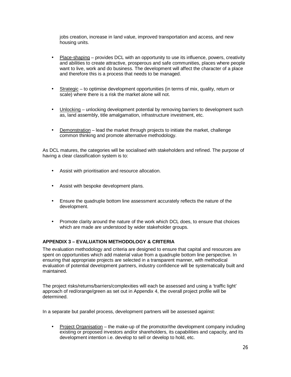jobs creation, increase in land value, improved transportation and access, and new housing units.

- Place-shaping provides DCL with an opportunity to use its influence, powers, creativity and abilities to create attractive, prosperous and safe communities, places where people want to live, work and do business. The development will affect the character of a place and therefore this is a process that needs to be managed.
- Strategic to optimise development opportunities (in terms of mix, quality, return or scale) where there is a risk the market alone will not.
- Unlocking unlocking development potential by removing barriers to development such as, land assembly, title amalgamation, infrastructure investment, etc.
- Demonstration lead the market through projects to initiate the market, challenge common thinking and promote alternative methodology.

As DCL matures, the categories will be socialised with stakeholders and refined. The purpose of having a clear classification system is to:

- Assist with prioritisation and resource allocation.
- Assist with bespoke development plans.
- Ensure the quadruple bottom line assessment accurately reflects the nature of the development.
- Promote clarity around the nature of the work which DCL does, to ensure that choices which are made are understood by wider stakeholder groups.

# **APPENDIX 3 – EVALUATION METHODOLOGY & CRITERIA**

The evaluation methodology and criteria are designed to ensure that capital and resources are spent on opportunities which add material value from a quadruple bottom line perspective. In ensuring that appropriate projects are selected in a transparent manner, with methodical evaluation of potential development partners, industry confidence will be systematically built and maintained.

The project risks/returns/barriers/complexities will each be assessed and using a 'traffic light' approach of red/orange/green as set out in Appendix 4, the overall project profile will be determined.

In a separate but parallel process, development partners will be assessed against:

 Project Organisation – the make-up of the promotor/the development company including existing or proposed investors and/or shareholders, its capabilities and capacity, and its development intention i.e. develop to sell or develop to hold, etc.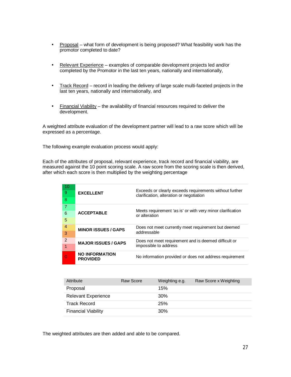- Proposal what form of development is being proposed? What feasibility work has the promotor completed to date?
- Relevant Experience examples of comparable development projects led and/or ä, completed by the Promotor in the last ten years, nationally and internationally,
- Track Record record in leading the delivery of large scale multi-faceted projects in the last ten years, nationally and internationally, and
- $\cdot$  Financial Viability the availability of financial resources required to deliver the development.

A weighted attribute evaluation of the development partner will lead to a raw score which will be expressed as a percentage.

The following example evaluation process would apply:

Each of the attributes of proposal, relevant experience, track record and financial viability, are measured against the 10 point scoring scale. A raw score from the scoring scale is then derived, after which each score is then multiplied by the weighting percentage

| 10<br>9<br>8        | <b>EXCELLENT</b>                         | Exceeds or clearly exceeds requirements without further<br>clarification, alteration or negotiation |
|---------------------|------------------------------------------|-----------------------------------------------------------------------------------------------------|
| 6<br>5              | <b>ACCEPTABLE</b>                        | Meets requirement 'as is' or with very minor clarification<br>or alteration                         |
| $\overline{4}$<br>3 | <b>MINOR ISSUES / GAPS</b>               | Does not meet currently meet requirement but deemed<br>addressable                                  |
| 2<br>1              | <b>MAJOR ISSUES / GAPS</b>               | Does not meet requirement and is deemed difficult or<br>impossible to address                       |
| 0                   | <b>NO INFORMATION</b><br><b>PROVIDED</b> | No information provided or does not address requirement                                             |

| Attribute                  | Raw Score | Weighting e.g. | Raw Score x Weighting |
|----------------------------|-----------|----------------|-----------------------|
| Proposal                   |           | 15%            |                       |
| <b>Relevant Experience</b> |           | 30%            |                       |
| <b>Track Record</b>        |           | 25%            |                       |
| <b>Financial Viability</b> |           | 30%            |                       |

The weighted attributes are then added and able to be compared.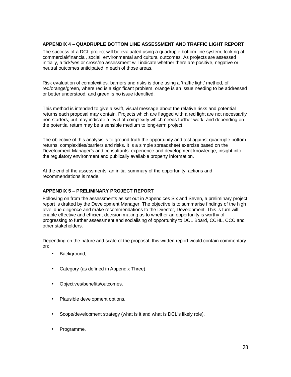# **APPENDIX 4 – QUADRUPLE BOTTOM LINE ASSESSMENT AND TRAFFIC LIGHT REPORT**

The success of a DCL project will be evaluated using a quadruple bottom line system, looking at commercial/financial, social, environmental and cultural outcomes. As projects are assessed initially, a tick/yes or cross/no assessment will indicate whether there are positive, negative or neutral outcomes anticipated in each of those areas.

Risk evaluation of complexities, barriers and risks is done using a 'traffic light' method, of red/orange/green, where red is a significant problem, orange is an issue needing to be addressed or better understood, and green is no issue identified.

This method is intended to give a swift, visual message about the relative risks and potential returns each proposal may contain. Projects which are flagged with a red light are not necessarily non-starters, but may indicate a level of complexity which needs further work, and depending on the potential return may be a sensible medium to long-term project.

The objective of this analysis is to ground truth the opportunity and test against quadruple bottom returns, complexities/barriers and risks. It is a simple spreadsheet exercise based on the Development Manager's and consultants' experience and development knowledge, insight into the regulatory environment and publically available property information.

At the end of the assessments, an initial summary of the opportunity, actions and recommendations is made.

# **APPENDIX 5 – PRELIMINARY PROJECT REPORT**

Following on from the assessments as set out in Appendices Six and Seven, a preliminary project report is drafted by the Development Manager. The objective is to summarise findings of the high level due diligence and make recommendations to the Director, Development. This is turn will enable effective and efficient decision making as to whether an opportunity is worthy of progressing to further assessment and socialising of opportunity to DCL Board, CCHL, CCC and other stakeholders.

Depending on the nature and scale of the proposal, this written report would contain commentary on:

- . Background,
- Category (as defined in Appendix Three),
- Objectives/benefits/outcomes,
- Plausible development options,
- Scope/development strategy (what is it and what is DCL's likely role),
- Programme,